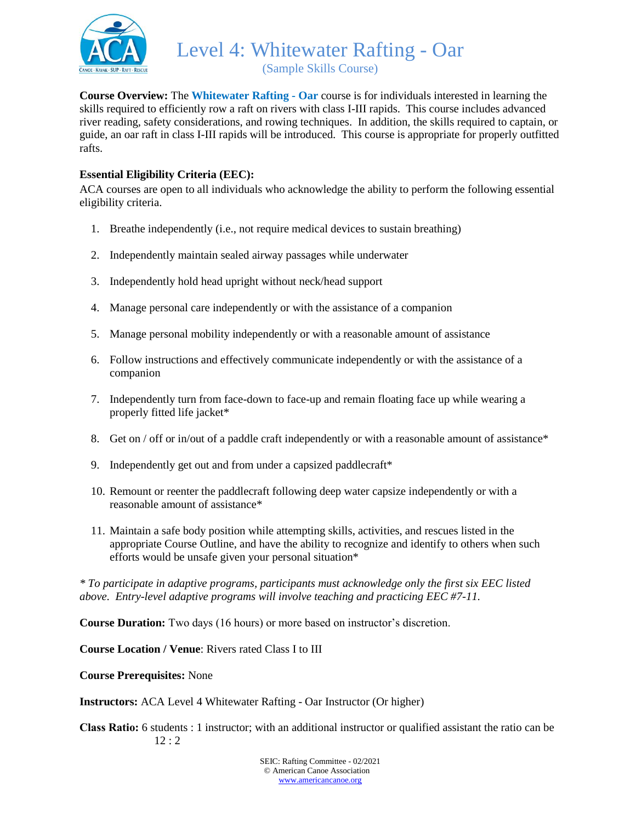

(Sample Skills Course)

**Course Overview:** The **Whitewater Rafting - Oar** course is for individuals interested in learning the skills required to efficiently row a raft on rivers with class I-III rapids. This course includes advanced river reading, safety considerations, and rowing techniques. In addition, the skills required to captain, or guide, an oar raft in class I-III rapids will be introduced. This course is appropriate for properly outfitted rafts.

### **Essential Eligibility Criteria (EEC):**

ACA courses are open to all individuals who acknowledge the ability to perform the following essential eligibility criteria.

- 1. Breathe independently (i.e., not require medical devices to sustain breathing)
- 2. Independently maintain sealed airway passages while underwater
- 3. Independently hold head upright without neck/head support
- 4. Manage personal care independently or with the assistance of a companion
- 5. Manage personal mobility independently or with a reasonable amount of assistance
- 6. Follow instructions and effectively communicate independently or with the assistance of a companion
- 7. Independently turn from face-down to face-up and remain floating face up while wearing a properly fitted life jacket\*
- 8. Get on / off or in/out of a paddle craft independently or with a reasonable amount of assistance\*
- 9. Independently get out and from under a capsized paddlecraft\*
- 10. Remount or reenter the paddlecraft following deep water capsize independently or with a reasonable amount of assistance\*
- 11. Maintain a safe body position while attempting skills, activities, and rescues listed in the appropriate Course Outline, and have the ability to recognize and identify to others when such efforts would be unsafe given your personal situation\*

*\* To participate in adaptive programs, participants must acknowledge only the first six EEC listed above. Entry-level adaptive programs will involve teaching and practicing EEC #7-11.*

**Course Duration:** Two days (16 hours) or more based on instructor's discretion.

**Course Location / Venue**: Rivers rated Class I to III

**Course Prerequisites:** None

**Instructors:** ACA Level 4 Whitewater Rafting - Oar Instructor (Or higher)

**Class Ratio:** 6 students : 1 instructor; with an additional instructor or qualified assistant the ratio can be 12 : 2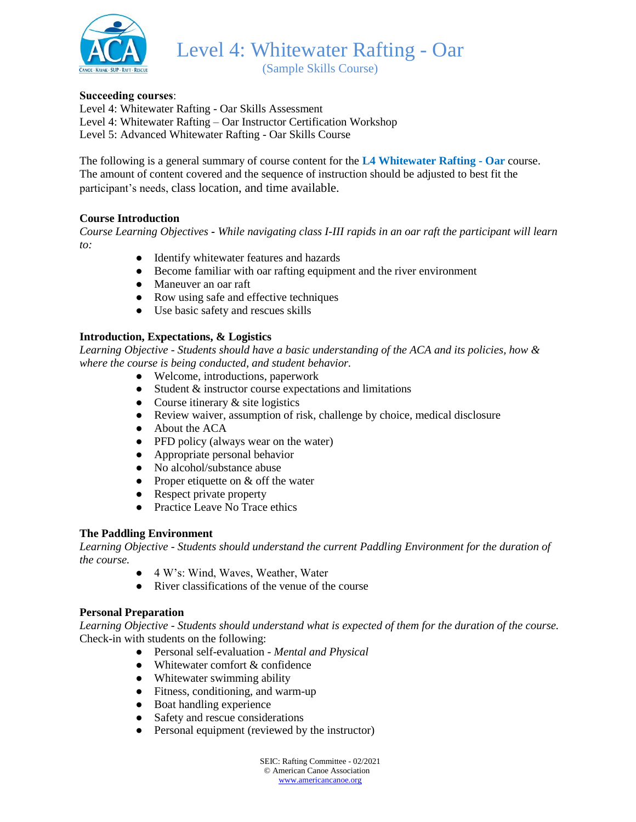

(Sample Skills Course)

### **Succeeding courses**:

Level 4: Whitewater Rafting - Oar Skills Assessment Level 4: Whitewater Rafting – Oar Instructor Certification Workshop Level 5: Advanced Whitewater Rafting - Oar Skills Course

The following is a general summary of course content for the **L4 Whitewater Rafting - Oar** course. The amount of content covered and the sequence of instruction should be adjusted to best fit the participant's needs, class location, and time available.

#### **Course Introduction**

*Course Learning Objectives - While navigating class I-III rapids in an oar raft the participant will learn to:* 

- Identify whitewater features and hazards
- Become familiar with oar rafting equipment and the river environment
- Maneuver an oar raft
- Row using safe and effective techniques
- Use basic safety and rescues skills

#### **Introduction, Expectations, & Logistics**

*Learning Objective - Students should have a basic understanding of the ACA and its policies, how & where the course is being conducted, and student behavior.*

- Welcome, introductions, paperwork
- Student & instructor course expectations and limitations
- Course itinerary  $&$  site logistics
- Review waiver, assumption of risk, challenge by choice, medical disclosure
- About the ACA
- PFD policy (always wear on the water)
- Appropriate personal behavior
- No alcohol/substance abuse
- Proper etiquette on  $&$  off the water
- Respect private property
- Practice Leave No Trace ethics

#### **The Paddling Environment**

*Learning Objective - Students should understand the current Paddling Environment for the duration of the course.*

- 4 W's: Wind, Waves, Weather, Water
- River classifications of the venue of the course

#### **Personal Preparation**

*Learning Objective - Students should understand what is expected of them for the duration of the course.* Check-in with students on the following:

- Personal self-evaluation *Mental and Physical*
- $\bullet$  Whitewater comfort  $\&$  confidence
- Whitewater swimming ability
- Fitness, conditioning, and warm-up
- Boat handling experience
- Safety and rescue considerations
- Personal equipment (reviewed by the instructor)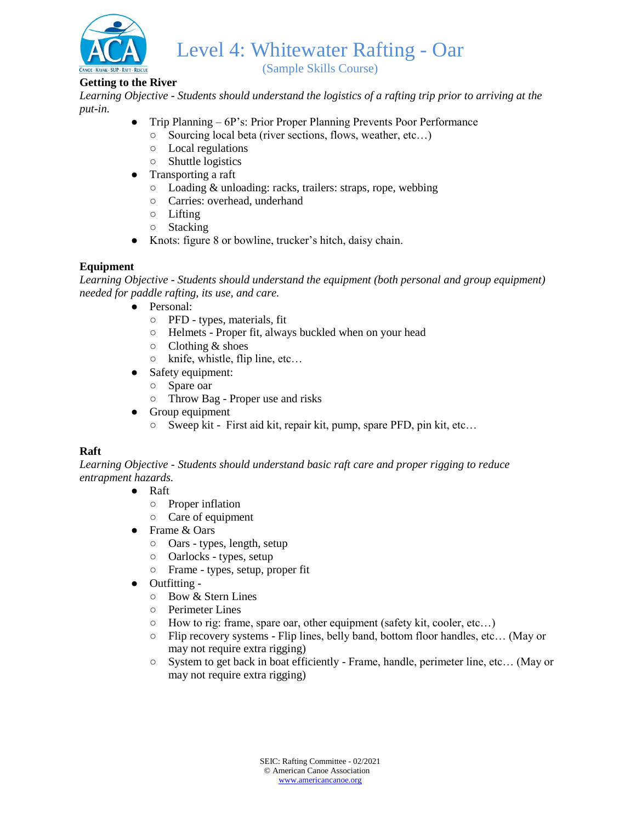

(Sample Skills Course)

## **Getting to the River**

*Learning Objective - Students should understand the logistics of a rafting trip prior to arriving at the put-in.*

- Trip Planning 6P's: Prior Proper Planning Prevents Poor Performance
	- Sourcing local beta (river sections, flows, weather, etc…)
	- Local regulations
	- Shuttle logistics
- Transporting a raft
	- Loading & unloading: racks, trailers: straps, rope, webbing
	- Carries: overhead, underhand
	- Lifting
	- Stacking
- Knots: figure 8 or bowline, trucker's hitch, daisy chain.

# **Equipment**

*Learning Objective - Students should understand the equipment (both personal and group equipment) needed for paddle rafting, its use, and care.*

- Personal:
	- PFD types, materials, fit
	- Helmets Proper fit, always buckled when on your head
	- Clothing & shoes
	- knife, whistle, flip line, etc…
- Safety equipment:
	- Spare oar
	- Throw Bag Proper use and risks
- Group equipment
	- Sweep kit First aid kit, repair kit, pump, spare PFD, pin kit, etc…

# **Raft**

*Learning Objective - Students should understand basic raft care and proper rigging to reduce entrapment hazards.*

- Raft
	- Proper inflation
	- Care of equipment
- Frame & Oars
	- Oars types, length, setup
	- Oarlocks types, setup
	- Frame types, setup, proper fit
- Outfitting
	- Bow & Stern Lines
	- Perimeter Lines
	- How to rig: frame, spare oar, other equipment (safety kit, cooler, etc…)
	- Flip recovery systems Flip lines, belly band, bottom floor handles, etc… (May or may not require extra rigging)
	- System to get back in boat efficiently Frame, handle, perimeter line, etc… (May or may not require extra rigging)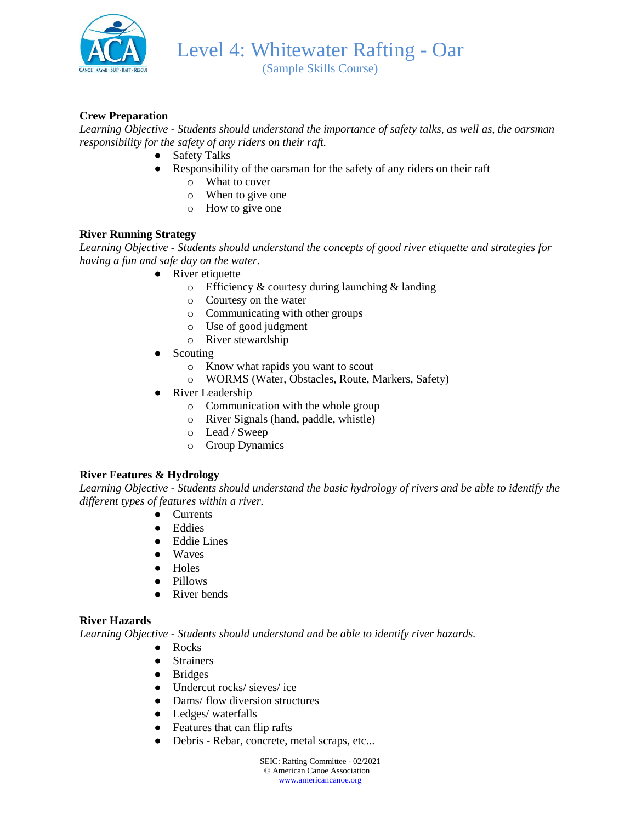

(Sample Skills Course)

## **Crew Preparation**

*Learning Objective - Students should understand the importance of safety talks, as well as, the oarsman responsibility for the safety of any riders on their raft.*

- Safety Talks
- Responsibility of the oarsman for the safety of any riders on their raft
	- o What to cover
	- o When to give one
	- o How to give one

### **River Running Strategy**

*Learning Objective - Students should understand the concepts of good river etiquette and strategies for having a fun and safe day on the water.*

- River etiquette
	- o Efficiency & courtesy during launching & landing
	- o Courtesy on the water
	- o Communicating with other groups
	- o Use of good judgment
	- o River stewardship
- **Scouting** 
	- o Know what rapids you want to scout
	- o WORMS (Water, Obstacles, Route, Markers, Safety)
- River Leadership
	- o Communication with the whole group
	- o River Signals (hand, paddle, whistle)
	- o Lead / Sweep
	- o Group Dynamics

#### **River Features & Hydrology**

*Learning Objective - Students should understand the basic hydrology of rivers and be able to identify the different types of features within a river.*

- Currents
- Eddies
- Eddie Lines
- Waves
- Holes
- Pillows
- River bends

#### **River Hazards**

*Learning Objective - Students should understand and be able to identify river hazards.*

- Rocks
- Strainers
- Bridges
- Undercut rocks/ sieves/ ice
- Dams/ flow diversion structures
- Ledges/ waterfalls
- Features that can flip rafts
- Debris Rebar, concrete, metal scraps, etc...

SEIC: Rafting Committee - 02/2021 © American Canoe Association [www.americancanoe.org](http://www.americancanoe.org/)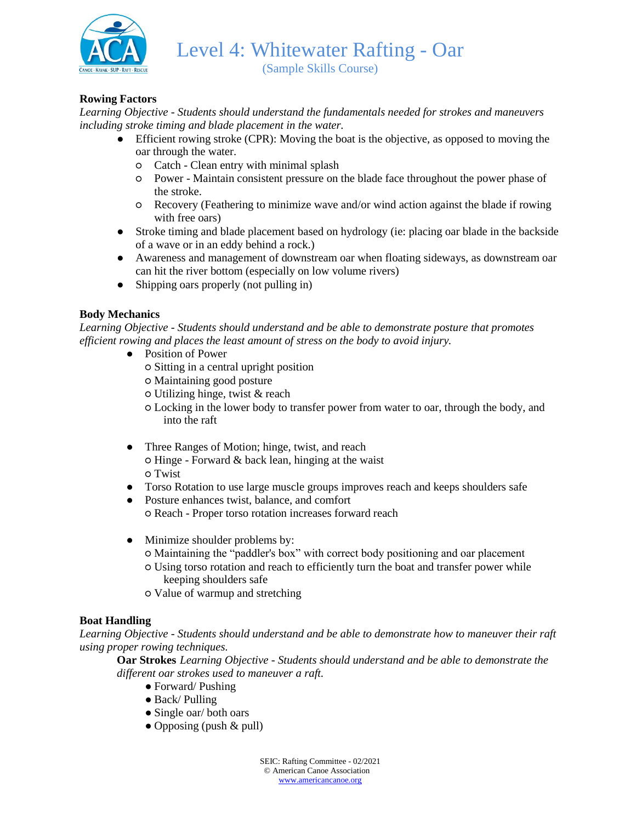

(Sample Skills Course)

## **Rowing Factors**

*Learning Objective - Students should understand the fundamentals needed for strokes and maneuvers including stroke timing and blade placement in the water.*

- Efficient rowing stroke (CPR): Moving the boat is the objective, as opposed to moving the oar through the water.
	- Catch Clean entry with minimal splash
	- Power Maintain consistent pressure on the blade face throughout the power phase of the stroke.
	- Recovery (Feathering to minimize wave and/or wind action against the blade if rowing with free oars)
- Stroke timing and blade placement based on hydrology (ie: placing oar blade in the backside of a wave or in an eddy behind a rock.)
- Awareness and management of downstream oar when floating sideways, as downstream oar can hit the river bottom (especially on low volume rivers)
- Shipping oars properly (not pulling in)

### **Body Mechanics**

*Learning Objective - Students should understand and be able to demonstrate posture that promotes efficient rowing and places the least amount of stress on the body to avoid injury.*

- Position of Power
	- Sitting in a central upright position
	- Maintaining good posture
	- Utilizing hinge, twist & reach
	- Locking in the lower body to transfer power from water to oar, through the body, and into the raft
- Three Ranges of Motion; hinge, twist, and reach  $\circ$  Hinge - Forward & back lean, hinging at the waist ○ Twist
- Torso Rotation to use large muscle groups improves reach and keeps shoulders safe
- Posture enhances twist, balance, and comfort

○ Reach - Proper torso rotation increases forward reach

- Minimize shoulder problems by:
	- Maintaining the "paddler's box" with correct body positioning and oar placement
	- Using torso rotation and reach to efficiently turn the boat and transfer power while keeping shoulders safe
	- Value of warmup and stretching

#### **Boat Handling**

*Learning Objective - Students should understand and be able to demonstrate how to maneuver their raft using proper rowing techniques.* 

**Oar Strokes** *Learning Objective - Students should understand and be able to demonstrate the different oar strokes used to maneuver a raft.*

- Forward/ Pushing
- Back/ Pulling
- Single oar/ both oars
- Opposing (push & pull)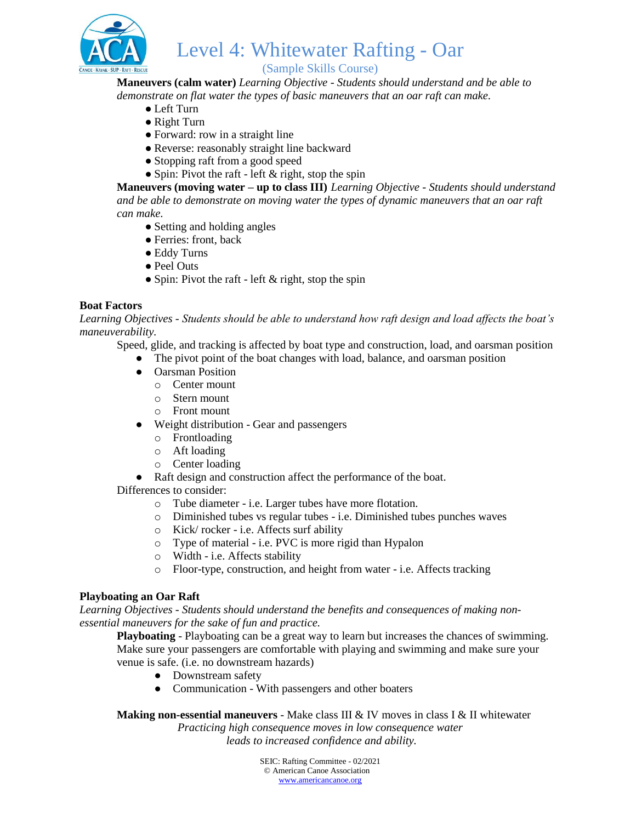

# (Sample Skills Course)

**Maneuvers (calm water)** *Learning Objective - Students should understand and be able to demonstrate on flat water the types of basic maneuvers that an oar raft can make.* 

- Left Turn
- Right Turn
- Forward: row in a straight line
- Reverse: reasonably straight line backward
- Stopping raft from a good speed
- Spin: Pivot the raft left  $&$  right, stop the spin

**Maneuvers (moving water – up to class III)** *Learning Objective - Students should understand and be able to demonstrate on moving water the types of dynamic maneuvers that an oar raft can make.* 

- Setting and holding angles
- Ferries: front, back
- Eddy Turns
- Peel Outs
- Spin: Pivot the raft left  $&$  right, stop the spin

### **Boat Factors**

*Learning Objectives - Students should be able to understand how raft design and load affects the boat's maneuverability.*

Speed, glide, and tracking is affected by boat type and construction, load, and oarsman position

- The pivot point of the boat changes with load, balance, and oarsman position
- Oarsman Position
	- o Center mount
	- o Stern mount
	- o Front mount
- Weight distribution Gear and passengers
	- o Frontloading
	- o Aft loading
	- o Center loading
- Raft design and construction affect the performance of the boat.

#### Differences to consider:

- o Tube diameter i.e. Larger tubes have more flotation.
- o Diminished tubes vs regular tubes i.e. Diminished tubes punches waves
- o Kick/ rocker i.e. Affects surf ability
- o Type of material i.e. PVC is more rigid than Hypalon
- o Width i.e. Affects stability
- o Floor-type, construction, and height from water i.e. Affects tracking

#### **Playboating an Oar Raft**

*Learning Objectives - Students should understand the benefits and consequences of making nonessential maneuvers for the sake of fun and practice.* 

**Playboating** - Playboating can be a great way to learn but increases the chances of swimming. Make sure your passengers are comfortable with playing and swimming and make sure your venue is safe. (i.e. no downstream hazards)

- Downstream safety
- Communication With passengers and other boaters

**Making non-essential maneuvers** - Make class III & IV moves in class I & II whitewater

*Practicing high consequence moves in low consequence water leads to increased confidence and ability.*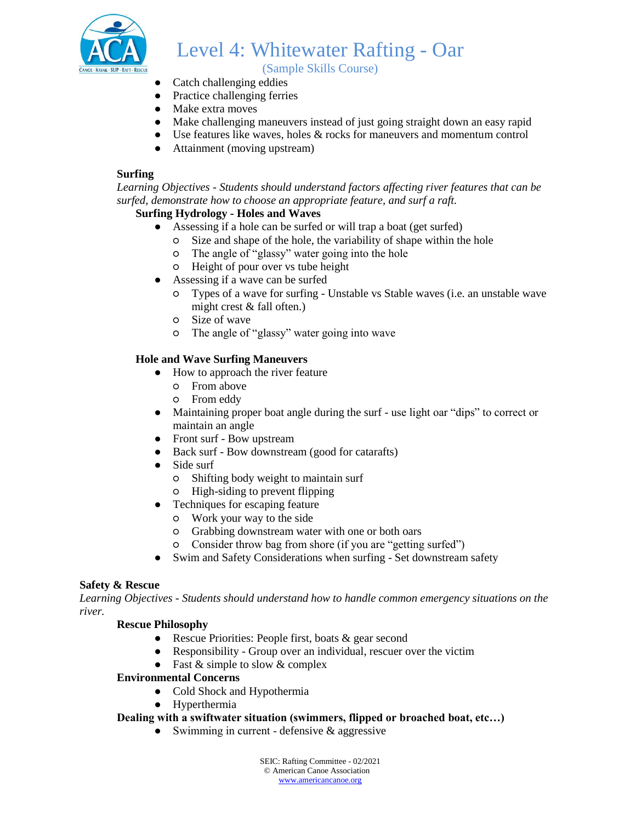

(Sample Skills Course)

- Catch challenging eddies
- Practice challenging ferries
- Make extra moves
- Make challenging maneuvers instead of just going straight down an easy rapid
- Use features like waves, holes  $\&$  rocks for maneuvers and momentum control
- Attainment (moving upstream)

#### **Surfing**

*Learning Objectives - Students should understand factors affecting river features that can be surfed, demonstrate how to choose an appropriate feature, and surf a raft.*

### **Surfing Hydrology - Holes and Waves**

- Assessing if a hole can be surfed or will trap a boat (get surfed)
	- Size and shape of the hole, the variability of shape within the hole
	- The angle of "glassy" water going into the hole
	- Height of pour over vs tube height
- Assessing if a wave can be surfed
	- Types of a wave for surfing Unstable vs Stable waves (i.e. an unstable wave might crest & fall often.)
	- Size of wave
	- The angle of "glassy" water going into wave

### **Hole and Wave Surfing Maneuvers**

- How to approach the river feature
	- From above
		- From eddy
- Maintaining proper boat angle during the surf use light oar "dips" to correct or maintain an angle
- Front surf Bow upstream
- Back surf Bow downstream (good for catarafts)
- Side surf
	- Shifting body weight to maintain surf
	- High-siding to prevent flipping
- Techniques for escaping feature
	- Work your way to the side
	- Grabbing downstream water with one or both oars
	- Consider throw bag from shore (if you are "getting surfed")
- Swim and Safety Considerations when surfing Set downstream safety

#### **Safety & Rescue**

*Learning Objectives - Students should understand how to handle common emergency situations on the river.* 

#### **Rescue Philosophy**

- Rescue Priorities: People first, boats & gear second
- Responsibility Group over an individual, rescuer over the victim
- Fast  $&$  simple to slow  $&$  complex

#### **Environmental Concerns**

- Cold Shock and Hypothermia
- Hyperthermia

### **Dealing with a swiftwater situation (swimmers, flipped or broached boat, etc…)**

• Swimming in current - defensive  $\&$  aggressive